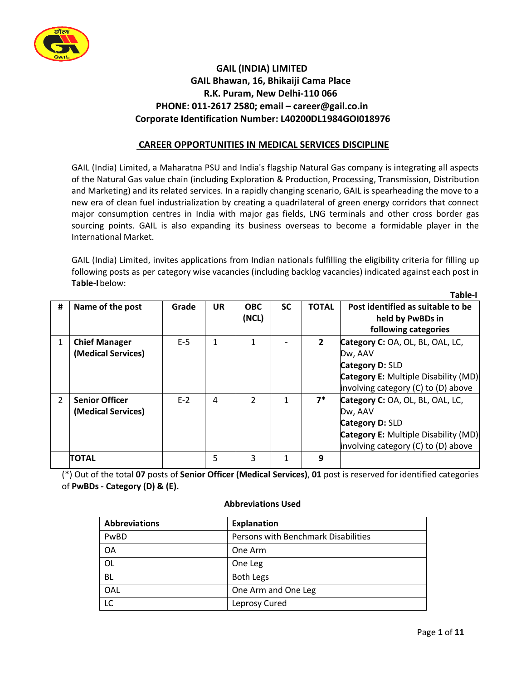

# **GAIL (INDIA) LIMITED GAIL Bhawan, 16, Bhikaiji Cama Place R.K. Puram, New Delhi-110 066 PHONE: 011-2617 2580; email – [career@gail.co.in](mailto:career@gail.co.in) Corporate Identification Number: L40200DL1984GOI018976**

## **CAREER OPPORTUNITIES IN MEDICAL SERVICES DISCIPLINE**

GAIL (India) Limited, a Maharatna PSU and India's flagship Natural Gas company is integrating all aspects of the Natural Gas value chain (including Exploration & Production, Processing, Transmission, Distribution and Marketing) and its related services. In a rapidly changing scenario, GAIL is spearheading the move to a new era of clean fuel industrialization by creating a quadrilateral of green energy corridors that connect major consumption centres in India with major gas fields, LNG terminals and other cross border gas sourcing points. GAIL is also expanding its business overseas to become a formidable player in the International Market.

GAIL (India) Limited, invites applications from Indian nationals fulfilling the eligibility criteria for filling up following posts as per category wise vacancies (including backlog vacancies) indicated against each post in **Table-I**below:

|               |                       |       |           |                |           |                | i avic-i                                    |
|---------------|-----------------------|-------|-----------|----------------|-----------|----------------|---------------------------------------------|
| #             | Name of the post      | Grade | <b>UR</b> | <b>OBC</b>     | <b>SC</b> | <b>TOTAL</b>   | Post identified as suitable to be           |
|               |                       |       |           | (NCL)          |           |                | held by PwBDs in                            |
|               |                       |       |           |                |           |                | following categories                        |
| $\mathbf{1}$  | <b>Chief Manager</b>  | $E-5$ | 1         | 1              |           | $\overline{2}$ | Category C: OA, OL, BL, OAL, LC,            |
|               | (Medical Services)    |       |           |                |           |                | Dw, AAV                                     |
|               |                       |       |           |                |           |                | Category D: SLD                             |
|               |                       |       |           |                |           |                | <b>Category E:</b> Multiple Disability (MD) |
|               |                       |       |           |                |           |                | involving category (C) to (D) above         |
| $\mathcal{L}$ | <b>Senior Officer</b> | $E-2$ | 4         | $\mathfrak{p}$ |           | $7^*$          | Category C: OA, OL, BL, OAL, LC,            |
|               | (Medical Services)    |       |           |                |           |                | Dw, AAV                                     |
|               |                       |       |           |                |           |                | <b>Category D: SLD</b>                      |
|               |                       |       |           |                |           |                | <b>Category E:</b> Multiple Disability (MD) |
|               |                       |       |           |                |           |                | involving category (C) to (D) above         |
|               | <b>TOTAL</b>          |       | 5         | 3              | 1         | 9              |                                             |

(\*) Out of the total **07** posts of **Senior Officer (Medical Services)**, **01** post is reserved for identified categories of **PwBDs - Category (D) & (E).**

| <b>Abbreviations</b> | <b>Explanation</b>                  |
|----------------------|-------------------------------------|
| PwBD                 | Persons with Benchmark Disabilities |
| <b>OA</b>            | One Arm                             |
| <b>OL</b>            | One Leg                             |
| BL                   | <b>Both Legs</b>                    |
| OAL                  | One Arm and One Leg                 |
| LC                   | Leprosy Cured                       |

## **Abbreviations Used**

 **Table-I**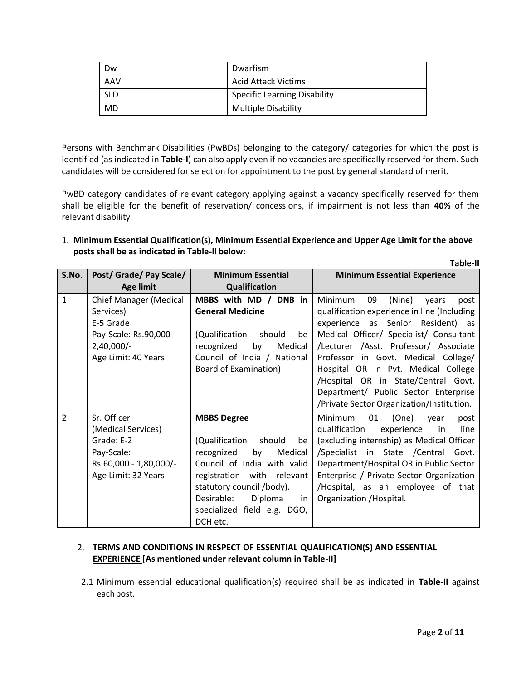| Dw         | Dwarfism                            |
|------------|-------------------------------------|
| AAV        | <b>Acid Attack Victims</b>          |
| <b>SLD</b> | <b>Specific Learning Disability</b> |
| MD         | <b>Multiple Disability</b>          |

Persons with Benchmark Disabilities (PwBDs) belonging to the category/ categories for which the post is identified (as indicated in **Table-I**) can also apply even if no vacancies are specifically reserved for them. Such candidates will be considered for selection for appointment to the post by general standard of merit.

PwBD category candidates of relevant category applying against a vacancy specifically reserved for them shall be eligible for the benefit of reservation/ concessions, if impairment is not less than **40%** of the relevant disability.

## 1. **Minimum Essential Qualification(s), Minimum Essential Experience and Upper Age Limit for the above posts shall be as indicated in Table-II below:**

|               |                                                                                                                          |                                                                                                                                                                                                                                                         | <b>Table-II</b>                                                                                                                                                                                                                                                                                                                                                                                                            |  |
|---------------|--------------------------------------------------------------------------------------------------------------------------|---------------------------------------------------------------------------------------------------------------------------------------------------------------------------------------------------------------------------------------------------------|----------------------------------------------------------------------------------------------------------------------------------------------------------------------------------------------------------------------------------------------------------------------------------------------------------------------------------------------------------------------------------------------------------------------------|--|
| S.No.         | Post/ Grade/ Pay Scale/                                                                                                  | <b>Minimum Essential</b>                                                                                                                                                                                                                                | <b>Minimum Essential Experience</b>                                                                                                                                                                                                                                                                                                                                                                                        |  |
|               | <b>Age limit</b>                                                                                                         | <b>Qualification</b>                                                                                                                                                                                                                                    |                                                                                                                                                                                                                                                                                                                                                                                                                            |  |
| $\mathbf{1}$  | <b>Chief Manager (Medical</b><br>Services)<br>E-5 Grade<br>Pay-Scale: Rs.90,000 -<br>$2,40,000/-$<br>Age Limit: 40 Years | MBBS with MD / DNB in<br><b>General Medicine</b><br>(Qualification<br>should<br>be<br>Medical<br>recognized<br>by<br>Council of India / National<br><b>Board of Examination)</b>                                                                        | 09<br>Minimum<br>(Nine)<br>years<br>post<br>qualification experience in line (Including<br>experience as Senior Resident) as<br>Medical Officer/ Specialist/ Consultant<br>/Lecturer /Asst. Professor/ Associate<br>Professor in Govt. Medical College/<br>Hospital OR in Pvt. Medical College<br>/Hospital OR in State/Central Govt.<br>Department/ Public Sector Enterprise<br>/Private Sector Organization/Institution. |  |
| $\mathcal{P}$ | Sr. Officer<br>(Medical Services)<br>Grade: E-2<br>Pay-Scale:<br>Rs.60,000 - 1,80,000/-<br>Age Limit: 32 Years           | <b>MBBS Degree</b><br>(Qualification<br>should<br>be<br>by<br>Medical<br>recognized<br>Council of India with valid<br>registration with relevant<br>statutory council /body).<br>Desirable:<br>Diploma<br>in<br>specialized field e.g. DGO,<br>DCH etc. | (One)<br>Minimum<br>01<br>vear<br>post<br>qualification<br>experience<br>$\overline{\mathsf{in}}$<br>line<br>(excluding internship) as Medical Officer<br>/Specialist in State /Central<br>Govt.<br>Department/Hospital OR in Public Sector<br>Enterprise / Private Sector Organization<br>/Hospital, as an employee of that<br>Organization / Hospital.                                                                   |  |

## 2. **TERMS AND CONDITIONS IN RESPECT OF ESSENTIAL QUALIFICATION(S) AND ESSENTIAL EXPERIENCE [As mentioned under relevant column in Table-II]**

2.1 Minimum essential educational qualification(s) required shall be as indicated in **Table-II** against each post.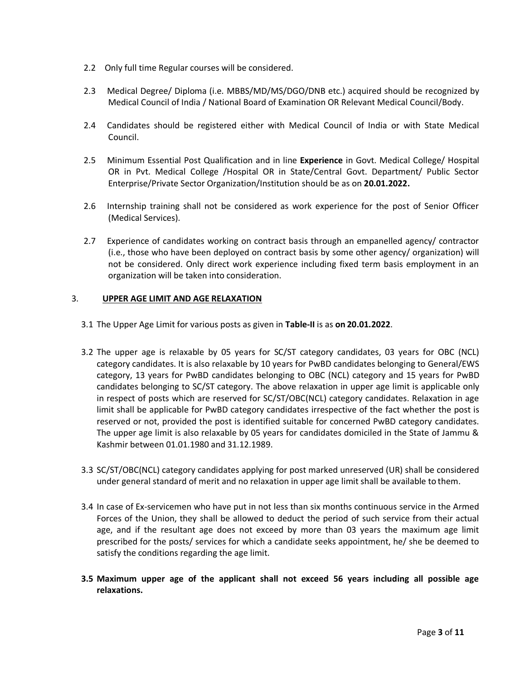- 2.2 Only full time Regular courses will be considered.
- 2.3 Medical Degree/ Diploma (i.e. MBBS/MD/MS/DGO/DNB etc.) acquired should be recognized by Medical Council of India / National Board of Examination OR Relevant Medical Council/Body.
- 2.4 Candidates should be registered either with Medical Council of India or with State Medical Council.
- 2.5 Minimum Essential Post Qualification and in line **Experience** in Govt. Medical College/ Hospital OR in Pvt. Medical College /Hospital OR in State/Central Govt. Department/ Public Sector Enterprise/Private Sector Organization/Institution should be as on **20.01.2022.**
- 2.6 Internship training shall not be considered as work experience for the post of Senior Officer (Medical Services).
- 2.7 Experience of candidates working on contract basis through an empanelled agency/ contractor (i.e., those who have been deployed on contract basis by some other agency/ organization) will not be considered. Only direct work experience including fixed term basis employment in an organization will be taken into consideration.

## 3. **UPPER AGE LIMIT AND AGE RELAXATION**

- 3.1 The Upper Age Limit for various posts as given in **Table-II** is as **on 20.01.2022**.
- 3.2 The upper age is relaxable by 05 years for SC/ST category candidates, 03 years for OBC (NCL) category candidates. It is also relaxable by 10 years for PwBD candidates belonging to General/EWS category, 13 years for PwBD candidates belonging to OBC (NCL) category and 15 years for PwBD candidates belonging to SC/ST category. The above relaxation in upper age limit is applicable only in respect of posts which are reserved for SC/ST/OBC(NCL) category candidates. Relaxation in age limit shall be applicable for PwBD category candidates irrespective of the fact whether the post is reserved or not, provided the post is identified suitable for concerned PwBD category candidates. The upper age limit is also relaxable by 05 years for candidates domiciled in the State of Jammu & Kashmir between 01.01.1980 and 31.12.1989.
- 3.3 SC/ST/OBC(NCL) category candidates applying for post marked unreserved (UR) shall be considered under general standard of merit and no relaxation in upper age limit shall be available to them.
- 3.4 In case of Ex-servicemen who have put in not less than six months continuous service in the Armed Forces of the Union, they shall be allowed to deduct the period of such service from their actual age, and if the resultant age does not exceed by more than 03 years the maximum age limit prescribed for the posts/ services for which a candidate seeks appointment, he/ she be deemed to satisfy the conditions regarding the age limit.
- **3.5 Maximum upper age of the applicant shall not exceed 56 years including all possible age relaxations.**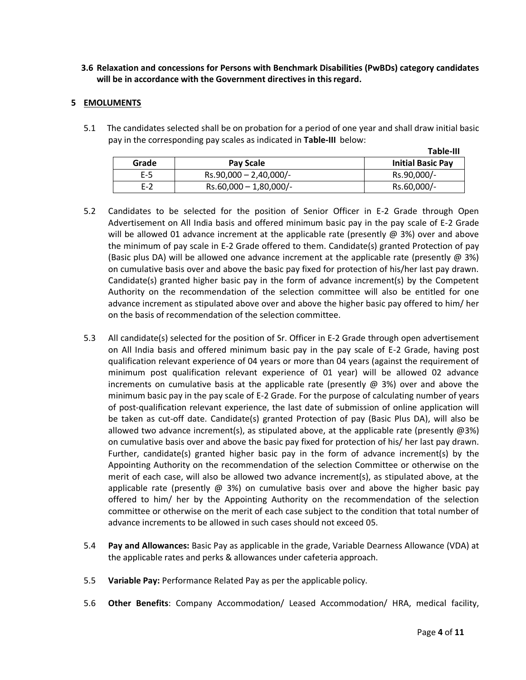**3.6 Relaxation and concessions for Persons with Benchmark Disabilities (PwBDs) category candidates will be in accordance with the Government directives in thisregard.**

#### **5 EMOLUMENTS**

5.1 The candidates selected shall be on probation for a period of one year and shall draw initial basic pay in the corresponding pay scales as indicated in **Table-III** below:

|       |                           | Table-III                |
|-------|---------------------------|--------------------------|
| Grade | Pay Scale                 | <b>Initial Basic Pay</b> |
| $E-5$ | $Rs.90,000 - 2,40,000/$ - | Rs.90,000/-              |
| $F-2$ | $Rs.60,000 - 1,80,000/$ - | Rs.60,000/-              |

- 5.2 Candidates to be selected for the position of Senior Officer in E-2 Grade through Open Advertisement on All India basis and offered minimum basic pay in the pay scale of E-2 Grade will be allowed 01 advance increment at the applicable rate (presently  $\omega$  3%) over and above the minimum of pay scale in E-2 Grade offered to them. Candidate(s) granted Protection of pay (Basic plus DA) will be allowed one advance increment at the applicable rate (presently  $\omega$  3%) on cumulative basis over and above the basic pay fixed for protection of his/her last pay drawn. Candidate(s) granted higher basic pay in the form of advance increment(s) by the Competent Authority on the recommendation of the selection committee will also be entitled for one advance increment as stipulated above over and above the higher basic pay offered to him/ her on the basis of recommendation of the selection committee.
- 5.3 All candidate(s) selected for the position of Sr. Officer in E-2 Grade through open advertisement on All India basis and offered minimum basic pay in the pay scale of E-2 Grade, having post qualification relevant experience of 04 years or more than 04 years (against the requirement of minimum post qualification relevant experience of 01 year) will be allowed 02 advance increments on cumulative basis at the applicable rate (presently  $\omega$  3%) over and above the minimum basic pay in the pay scale of E-2 Grade. For the purpose of calculating number of years of post-qualification relevant experience, the last date of submission of online application will be taken as cut-off date. Candidate(s) granted Protection of pay (Basic Plus DA), will also be allowed two advance increment(s), as stipulated above, at the applicable rate (presently  $(23%)$ on cumulative basis over and above the basic pay fixed for protection of his/ her last pay drawn. Further, candidate(s) granted higher basic pay in the form of advance increment(s) by the Appointing Authority on the recommendation of the selection Committee or otherwise on the merit of each case, will also be allowed two advance increment(s), as stipulated above, at the applicable rate (presently  $\omega$  3%) on cumulative basis over and above the higher basic pay offered to him/ her by the Appointing Authority on the recommendation of the selection committee or otherwise on the merit of each case subject to the condition that total number of advance increments to be allowed in such cases should not exceed 05.
- 5.4 **Pay and Allowances:** Basic Pay as applicable in the grade, Variable Dearness Allowance (VDA) at the applicable rates and perks & allowances under cafeteria approach.
- 5.5 **Variable Pay:** Performance Related Pay as per the applicable policy.
- 5.6 **Other Benefits**: Company Accommodation/ Leased Accommodation/ HRA, medical facility,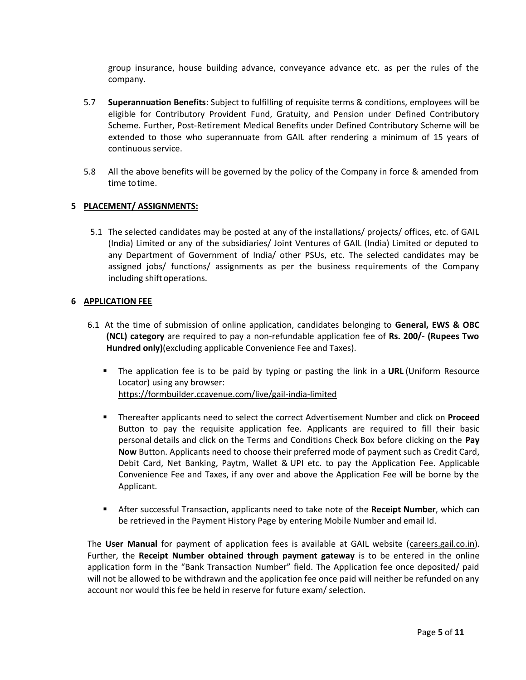group insurance, house building advance, conveyance advance etc. as per the rules of the company.

- 5.7 **Superannuation Benefits**: Subject to fulfilling of requisite terms & conditions, employees will be eligible for Contributory Provident Fund, Gratuity, and Pension under Defined Contributory Scheme. Further, Post-Retirement Medical Benefits under Defined Contributory Scheme will be extended to those who superannuate from GAIL after rendering a minimum of 15 years of continuous service.
- 5.8 All the above benefits will be governed by the policy of the Company in force & amended from time totime.

## **5 PLACEMENT/ ASSIGNMENTS:**

5.1 The selected candidates may be posted at any of the installations/ projects/ offices, etc. of GAIL (India) Limited or any of the subsidiaries/ Joint Ventures of GAIL (India) Limited or deputed to any Department of Government of India/ other PSUs, etc. The selected candidates may be assigned jobs/ functions/ assignments as per the business requirements of the Company including shift operations.

#### **6 APPLICATION FEE**

- 6.1 At the time of submission of online application, candidates belonging to **General, EWS & OBC (NCL) category** are required to pay a non-refundable application fee of **Rs. 200/- (Rupees Two Hundred only)**(excluding applicable Convenience Fee and Taxes).
	- The application fee is to be paid by typing or pasting the link in a **URL** (Uniform Resource Locator) using any browser: [https://formbuilder.ccavenue.com/live/gail-india-limited](https://ind01.safelinks.protection.outlook.com/?url=https%3A%2F%2Fformbuilder.ccavenue.com%2Flive%2Fgail-india-limited&data=04%7C01%7Cshubham.bansal%40icicibank.com%7C8a07380a81844dff3a0808d929a54c0c%7Cce6f94301d644a97a32de92a05a11971%7C0%7C0%7C637586612224462605%7CUnknown%7CTWFpbGZsb3d8eyJWIjoiMC4wLjAwMDAiLCJQIjoiV2luMzIiLCJBTiI6Ik1haWwiLCJXVCI6Mn0%3D%7C1000&sdata=ztPtJIGnyNNKEysknsXKLQyVLUWzaOHxvsuKw3nicT8%3D&reserved=0)
	- Thereafter applicants need to select the correct Advertisement Number and click on **Proceed**  Button to pay the requisite application fee. Applicants are required to fill their basic personal details and click on the Terms and Conditions Check Box before clicking on the **Pay Now** Button. Applicants need to choose their preferred mode of payment such as Credit Card, Debit Card, Net Banking, Paytm, Wallet & UPI etc. to pay the Application Fee. Applicable Convenience Fee and Taxes, if any over and above the Application Fee will be borne by the Applicant.
	- After successful Transaction, applicants need to take note of the **Receipt Number**, which can be retrieved in the Payment History Page by entering Mobile Number and email Id.

The **User Manual** for payment of application fees is available at GAIL website [\(careers.gail.co.in\)](http://careers.gail.co.in/). Further, the **Receipt Number obtained through payment gateway** is to be entered in the online application form in the "Bank Transaction Number" field. The Application fee once deposited/ paid will not be allowed to be withdrawn and the application fee once paid will neither be refunded on any account nor would this fee be held in reserve for future exam/ selection.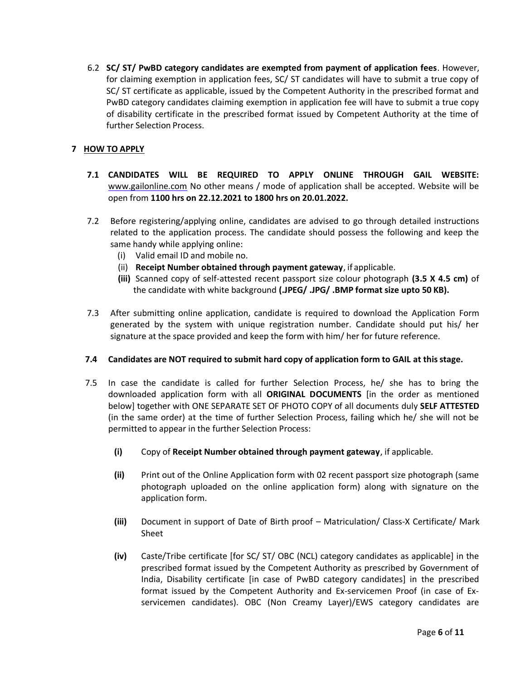6.2 **SC/ ST/ PwBD category candidates are exempted from payment of application fees**. However, for claiming exemption in application fees, SC/ ST candidates will have to submit a true copy of SC/ ST certificate as applicable, issued by the Competent Authority in the prescribed format and PwBD category candidates claiming exemption in application fee will have to submit a true copy of disability certificate in the prescribed format issued by Competent Authority at the time of further Selection Process.

## **7 HOW TO APPLY**

- **7.1 CANDIDATES WILL BE REQUIRED TO APPLY ONLINE THROUGH GAIL WEBSITE:**  [www.gailonline.com](http://www.gailonline.com/) No other means / mode of application shall be accepted. Website will be open from **1100 hrs on 22.12.2021 to 1800 hrs on 20.01.2022.**
- 7.2 Before registering/applying online, candidates are advised to go through detailed instructions related to the application process. The candidate should possess the following and keep the same handy while applying online:
	- (i) Valid email ID and mobile no.
	- (ii) **Receipt Number obtained through payment gateway**, if applicable.
	- **(iii)** Scanned copy of self-attested recent passport size colour photograph **(3.5 X 4.5 cm)** of the candidate with white background **(.JPEG/ .JPG/ .BMP format size upto 50 KB).**
- 7.3 After submitting online application, candidate is required to download the Application Form generated by the system with unique registration number. Candidate should put his/ her signature at the space provided and keep the form with him/ her for future reference.

## **7.4 Candidates are NOT required to submit hard copy of application form to GAIL at thisstage.**

- 7.5 In case the candidate is called for further Selection Process, he/ she has to bring the downloaded application form with all **ORIGINAL DOCUMENTS** [in the order as mentioned below] together with ONE SEPARATE SET OF PHOTO COPY of all documents duly **SELF ATTESTED**  (in the same order) at the time of further Selection Process, failing which he/ she will not be permitted to appear in the further Selection Process:
	- **(i)** Copy of **Receipt Number obtained through payment gateway**, if applicable.
	- **(ii)** Print out of the Online Application form with 02 recent passport size photograph (same photograph uploaded on the online application form) along with signature on the application form.
	- **(iii)** Document in support of Date of Birth proof Matriculation/ Class-X Certificate/ Mark Sheet
	- **(iv)** Caste/Tribe certificate [for SC/ ST/ OBC (NCL) category candidates as applicable] in the prescribed format issued by the Competent Authority as prescribed by Government of India, Disability certificate [in case of PwBD category candidates] in the prescribed format issued by the Competent Authority and Ex‐servicemen Proof (in case of Ex‐ servicemen candidates). OBC (Non Creamy Layer)/EWS category candidates are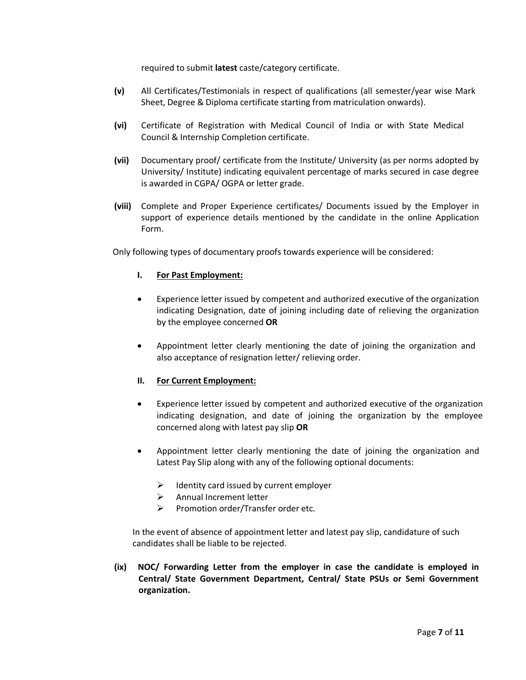required to submit **latest** caste/category certificate.

- **(v)** All Certificates/Testimonials in respect of qualifications (all semester/year wise Mark Sheet, Degree & Diploma certificate starting from matriculation onwards).
- **(vi)** Certificate of Registration with Medical Council of India or with State Medical Council & Internship Completion certificate.
- **(vii)** Documentary proof/ certificate from the Institute/ University (as per norms adopted by University/ Institute) indicating equivalent percentage of marks secured in case degree is awarded in CGPA/ OGPA or letter grade.
- **(viii)** Complete and Proper Experience certificates/ Documents issued by the Employer in support of experience details mentioned by the candidate in the online Application Form.

Only following types of documentary proofs towards experience will be considered:

#### **I. For Past Employment:**

- Experience letter issued by competent and authorized executive of the organization indicating Designation, date of joining including date of relieving the organization by the employee concerned **OR**
- Appointment letter clearly mentioning the date of joining the organization and also acceptance of resignation letter/ relieving order.

## **II. For Current Employment:**

- Experience letter issued by competent and authorized executive of the organization indicating designation, and date of joining the organization by the employee concerned along with latest pay slip **OR**
- Appointment letter clearly mentioning the date of joining the organization and Latest Pay Slip along with any of the following optional documents:
	- $\triangleright$  Identity card issued by current employer
	- $\triangleright$  Annual Increment letter
	- $\triangleright$  Promotion order/Transfer order etc.

In the event of absence of appointment letter and latest pay slip, candidature of such candidates shall be liable to be rejected.

**(ix) NOC/ Forwarding Letter from the employer in case the candidate is employed in Central/ State Government Department, Central/ State PSUs or Semi Government organization.**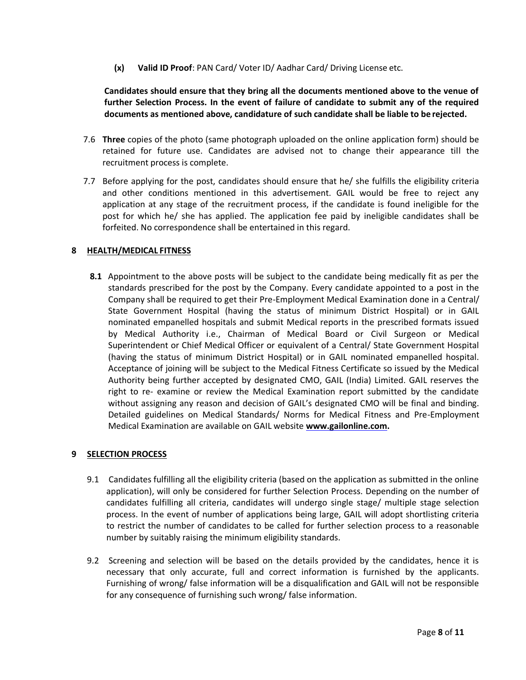**(x) Valid ID Proof**: PAN Card/ Voter ID/ Aadhar Card/ Driving License etc.

**Candidates should ensure that they bring all the documents mentioned above to the venue of further Selection Process. In the event of failure of candidate to submit any of the required documents as mentioned above, candidature of such candidate shall be liable to be rejected.**

- 7.6 **Three** copies of the photo (same photograph uploaded on the online application form) should be retained for future use. Candidates are advised not to change their appearance till the recruitment process is complete.
- 7.7 Before applying for the post, candidates should ensure that he/ she fulfills the eligibility criteria and other conditions mentioned in this advertisement. GAIL would be free to reject any application at any stage of the recruitment process, if the candidate is found ineligible for the post for which he/ she has applied. The application fee paid by ineligible candidates shall be forfeited. No correspondence shall be entertained in this regard.

## **8 HEALTH/MEDICAL FITNESS**

**8.1** Appointment to the above posts will be subject to the candidate being medically fit as per the standards prescribed for the post by the Company. Every candidate appointed to a post in the Company shall be required to get their Pre-Employment Medical Examination done in a Central/ State Government Hospital (having the status of minimum District Hospital) or in GAIL nominated empanelled hospitals and submit Medical reports in the prescribed formats issued by Medical Authority i.e., Chairman of Medical Board or Civil Surgeon or Medical Superintendent or Chief Medical Officer or equivalent of a Central/ State Government Hospital (having the status of minimum District Hospital) or in GAIL nominated empanelled hospital. Acceptance of joining will be subject to the Medical Fitness Certificate so issued by the Medical Authority being further accepted by designated CMO, GAIL (India) Limited. GAIL reserves the right to re- examine or review the Medical Examination report submitted by the candidate without assigning any reason and decision of GAIL's designated CMO will be final and binding. Detailed guidelines on Medical Standards/ Norms for Medical Fitness and Pre-Employment Medical Examination are available on GAIL website **[www.gailonline.com.](http://www.gailonline.com/)**

## **9 SELECTION PROCESS**

- 9.1 Candidates fulfilling all the eligibility criteria (based on the application as submitted in the online application), will only be considered for further Selection Process. Depending on the number of candidates fulfilling all criteria, candidates will undergo single stage/ multiple stage selection process. In the event of number of applications being large, GAIL will adopt shortlisting criteria to restrict the number of candidates to be called for further selection process to a reasonable number by suitably raising the minimum eligibility standards.
- 9.2 Screening and selection will be based on the details provided by the candidates, hence it is necessary that only accurate, full and correct information is furnished by the applicants. Furnishing of wrong/ false information will be a disqualification and GAIL will not be responsible for any consequence of furnishing such wrong/ false information.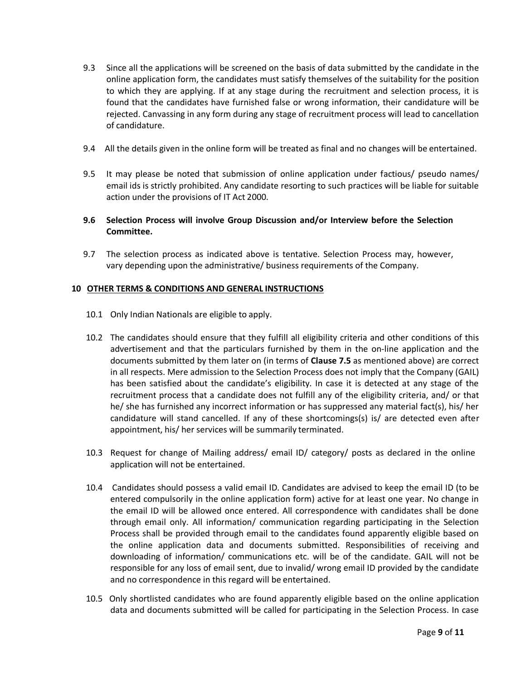- 9.3 Since all the applications will be screened on the basis of data submitted by the candidate in the online application form, the candidates must satisfy themselves of the suitability for the position to which they are applying. If at any stage during the recruitment and selection process, it is found that the candidates have furnished false or wrong information, their candidature will be rejected. Canvassing in any form during any stage of recruitment process will lead to cancellation of candidature.
- 9.4 All the details given in the online form will be treated as final and no changes will be entertained.
- 9.5 It may please be noted that submission of online application under factious/ pseudo names/ email ids is strictly prohibited. Any candidate resorting to such practices will be liable for suitable action under the provisions of IT Act 2000.
- **9.6 Selection Process will involve Group Discussion and/or Interview before the Selection Committee.**
- 9.7 The selection process as indicated above is tentative. Selection Process may, however, vary depending upon the administrative/ business requirements of the Company.

#### **10 OTHER TERMS & CONDITIONS AND GENERAL INSTRUCTIONS**

- 10.1 Only Indian Nationals are eligible to apply.
- 10.2 The candidates should ensure that they fulfill all eligibility criteria and other conditions of this advertisement and that the particulars furnished by them in the on‐line application and the documents submitted by them later on (in terms of **Clause 7.5** as mentioned above) are correct in all respects. Mere admission to the Selection Process does not imply that the Company (GAIL) has been satisfied about the candidate's eligibility. In case it is detected at any stage of the recruitment process that a candidate does not fulfill any of the eligibility criteria, and/ or that he/ she has furnished any incorrect information or has suppressed any material fact(s), his/ her candidature will stand cancelled. If any of these shortcomings(s) is/ are detected even after appointment, his/ her services will be summarily terminated.
- 10.3 Request for change of Mailing address/ email ID/ category/ posts as declared in the online application will not be entertained.
- 10.4 Candidates should possess a valid email ID. Candidates are advised to keep the email ID (to be entered compulsorily in the online application form) active for at least one year. No change in the email ID will be allowed once entered. All correspondence with candidates shall be done through email only. All information/ communication regarding participating in the Selection Process shall be provided through email to the candidates found apparently eligible based on the online application data and documents submitted. Responsibilities of receiving and downloading of information/ communications etc. will be of the candidate. GAIL will not be responsible for any loss of email sent, due to invalid/ wrong email ID provided by the candidate and no correspondence in this regard will be entertained.
- 10.5 Only shortlisted candidates who are found apparently eligible based on the online application data and documents submitted will be called for participating in the Selection Process. In case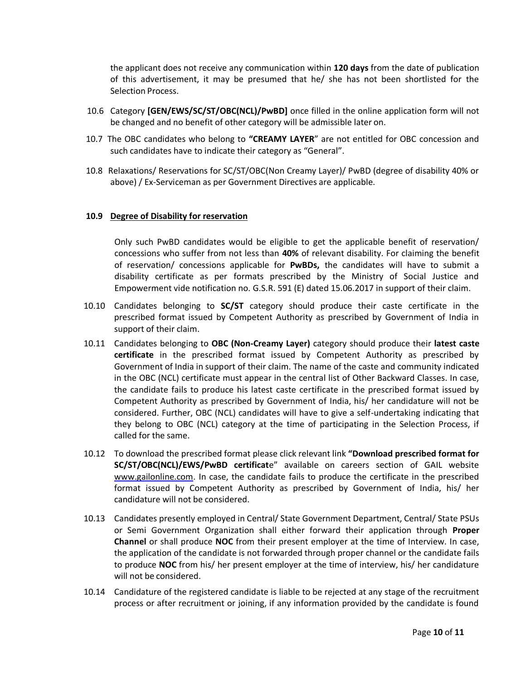the applicant does not receive any communication within **120 days** from the date of publication of this advertisement, it may be presumed that he/ she has not been shortlisted for the Selection Process.

- 10.6 Category **[GEN/EWS/SC/ST/OBC(NCL)/PwBD]** once filled in the online application form will not be changed and no benefit of other category will be admissible later on.
- 10.7 The OBC candidates who belong to **"CREAMY LAYER**" are not entitled for OBC concession and such candidates have to indicate their category as "General".
- 10.8 Relaxations/ Reservations for SC/ST/OBC(Non Creamy Layer)/ PwBD (degree of disability 40% or above) / Ex-Serviceman as per Government Directives are applicable.

#### **10.9 Degree of Disability for reservation**

Only such PwBD candidates would be eligible to get the applicable benefit of reservation/ concessions who suffer from not less than **40%** of relevant disability. For claiming the benefit of reservation/ concessions applicable for **PwBDs,** the candidates will have to submit a disability certificate as per formats prescribed by the Ministry of Social Justice and Empowerment vide notification no. G.S.R. 591 (E) dated 15.06.2017 in support of their claim.

- 10.10 Candidates belonging to **SC/ST** category should produce their caste certificate in the prescribed format issued by Competent Authority as prescribed by Government of India in support of their claim.
- 10.11 Candidates belonging to **OBC (Non‐Creamy Layer)** category should produce their **latest caste certificate** in the prescribed format issued by Competent Authority as prescribed by Government of India in support of their claim. The name of the caste and community indicated in the OBC (NCL) certificate must appear in the central list of Other Backward Classes. In case, the candidate fails to produce his latest caste certificate in the prescribed format issued by Competent Authority as prescribed by Government of India, his/ her candidature will not be considered. Further, OBC (NCL) candidates will have to give a self-undertaking indicating that they belong to OBC (NCL) category at the time of participating in the Selection Process, if called for the same.
- 10.12 To download the prescribed format please click relevant link **"Download prescribed format for SC/ST/OBC(NCL)/EWS/PwBD certificat**e" available on careers section of GAIL website [www.gailonline.com.](http://www.gailonline.com/) In case, the candidate fails to produce the certificate in the prescribed format issued by Competent Authority as prescribed by Government of India, his/ her candidature will not be considered.
- 10.13 Candidates presently employed in Central/ State Government Department, Central/ State PSUs or Semi Government Organization shall either forward their application through **Proper Channel** or shall produce **NOC** from their present employer at the time of Interview. In case, the application of the candidate is not forwarded through proper channel or the candidate fails to produce **NOC** from his/ her present employer at the time of interview, his/ her candidature will not be considered.
- 10.14 Candidature of the registered candidate is liable to be rejected at any stage of the recruitment process or after recruitment or joining, if any information provided by the candidate is found